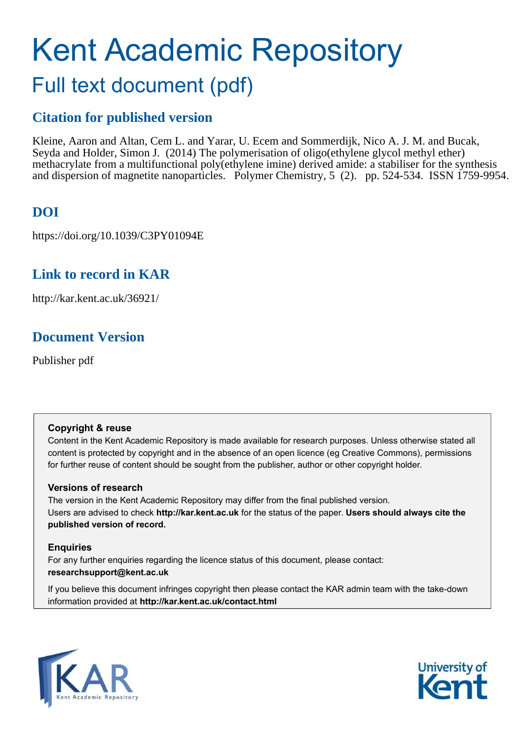# Kent Academic Repository Full text document (pdf)

### **Citation for published version**

Kleine, Aaron and Altan, Cem L. and Yarar, U. Ecem and Sommerdijk, Nico A. J. M. and Bucak, Seyda and Holder, Simon J. (2014) The polymerisation of oligo(ethylene glycol methyl ether) methacrylate from a multifunctional poly(ethylene imine) derived amide: a stabiliser for the synthesis and dispersion of magnetite nanoparticles. Polymer Chemistry, 5 (2). pp. 524-534. ISSN 1759-9954.

### **DOI**

https://doi.org/10.1039/C3PY01094E

### **Link to record in KAR**

http://kar.kent.ac.uk/36921/

### **Document Version**

Publisher pdf

#### **Copyright & reuse**

Content in the Kent Academic Repository is made available for research purposes. Unless otherwise stated all content is protected by copyright and in the absence of an open licence (eg Creative Commons), permissions for further reuse of content should be sought from the publisher, author or other copyright holder.

#### **Versions of research**

The version in the Kent Academic Repository may differ from the final published version. Users are advised to check **http://kar.kent.ac.uk** for the status of the paper. **Users should always cite the published version of record.**

#### **Enquiries**

For any further enquiries regarding the licence status of this document, please contact: **researchsupport@kent.ac.uk**

If you believe this document infringes copyright then please contact the KAR admin team with the take-down information provided at **http://kar.kent.ac.uk/contact.html**



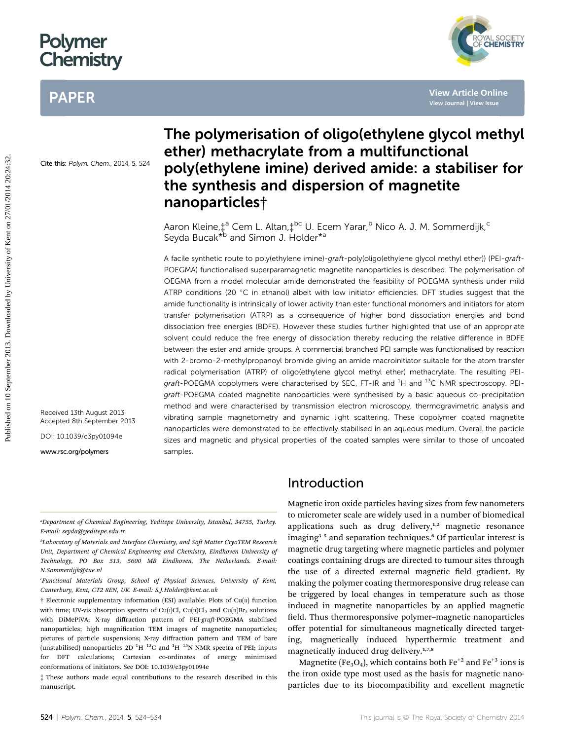## Polymer **Chemistry**

### PAPER



**[View Article Online](http://dx.doi.org/10.1039/c3py01094e) [View Journal](http://pubs.rsc.org/en/journals/journal/PY) [| View Issue](http://pubs.rsc.org/en/journals/journal/PY?issueid=PY005002)**

Cite this: Polym. Chem., 2014, 5, 524

### the synthesis and dispersion of magnetite nanoparticles† Aaron Kleine,‡ª Cem L. Altan,‡<sup>bc</sup> U. Ecem Yarar,<sup>b</sup> Nico A. J. M. Sommerdijk,<sup>c</sup>

ether) methacrylate from a multifunctional

The polymerisation of oligo(ethylene glycol methyl

poly(ethylene imine) derived amide: a stabiliser for

Seyda Bucak<sup>\*b</sup> and Simon J. Holder<sup>\*a</sup>

A facile synthetic route to poly(ethylene imine)-graft-poly(oligo(ethylene glycol methyl ether)) (PEI-graft-POEGMA) functionalised superparamagnetic magnetite nanoparticles is described. The polymerisation of OEGMA from a model molecular amide demonstrated the feasibility of POEGMA synthesis under mild ATRP conditions (20  $^{\circ}$ C in ethanol) albeit with low initiator efficiencies. DFT studies suggest that the amide functionality is intrinsically of lower activity than ester functional monomers and initiators for atom transfer polymerisation (ATRP) as a consequence of higher bond dissociation energies and bond dissociation free energies (BDFE). However these studies further highlighted that use of an appropriate solvent could reduce the free energy of dissociation thereby reducing the relative difference in BDFE between the ester and amide groups. A commercial branched PEI sample was functionalised by reaction with 2-bromo-2-methylpropanoyl bromide giving an amide macroinitiator suitable for the atom transfer radical polymerisation (ATRP) of oligo(ethylene glycol methyl ether) methacrylate. The resulting PEIgraft-POEGMA copolymers were characterised by SEC, FT-IR and <sup>1</sup>H and <sup>13</sup>C NMR spectroscopy. PEIgraft-POEGMA coated magnetite nanoparticles were synthesised by a basic aqueous co-precipitation method and were characterised by transmission electron microscopy, thermogravimetric analysis and vibrating sample magnetometry and dynamic light scattering. These copolymer coated magnetite nanoparticles were demonstrated to be effectively stabilised in an aqueous medium. Overall the particle sizes and magnetic and physical properties of the coated samples were similar to those of uncoated samples.

Received 13th August 2013 Accepted 8th September 2013

DOI: 10.1039/c3py01094e

www.rsc.org/polymers

*<sup>a</sup>Department of Chemical Engineering, Yeditepe University, Istanbul, 34755, Turkey. E-mail: seyda@yeditepe.edu.tr*

*<i>b***Laboratory of Materials and Interface Chemistry, and Soft Matter CryoTEM Research** *Unit, Department of Chemical Engineering and Chemistry, Eindhoven University of Technology, PO Box 513, 5600 MB Eindhoven, The Netherlands. E-mail: N.Sommerdijk@tue.nl*

*<sup>c</sup>Functional Materials Group, School of Physical Sciences, University of Kent, Canterbury, Kent, CT2 8EN, UK. E-mail: S.J.Holder@kent.ac.uk*

 $\dagger$  Electronic supplementary information (ESI) available: Plots of Cu( $\pi$ ) function with time; UV-vis absorption spectra of Cu(i)Cl, Cu(ii)Cl<sub>2</sub> and Cu(ii)Br<sub>2</sub> solutions with DiMePiVA; X-ray diffraction pattern of PEI-graft-POEGMA stabilised nanoparticles; high magnification TEM images of magnetite nanoparticles; pictures of particle suspensions; X-ray diffraction pattern and TEM of bare (unstabilised) nanoparticles 2D  $^{1}H-^{13}C$  and  $^{1}H-^{15}N$  NMR spectra of PEI; inputs for DFT calculations; Cartesian co-ordinates of energy minimised conformations of initiators. See DOI: 10.1039/c3py01094e

‡ These authors made equal contributions to the research described in this manuscript.

#### Introduction

Magnetic iron oxide particles having sizes from few nanometers to micrometer scale are widely used in a number of biomedical applications such as drug delivery, $1,2$  magnetic resonance imaging<sup>3-5</sup> and separation techniques.<sup>6</sup> Of particular interest is magnetic drug targeting where magnetic particles and polymer coatings containing drugs are directed to tumour sites through the use of a directed external magnetic field gradient. By making the polymer coating thermoresponsive drug release can be triggered by local changes in temperature such as those induced in magnetite nanoparticles by an applied magnetic field. Thus thermoresponsive polymer-magnetic nanoparticles offer potential for simultaneous magnetically directed targeting, magnetically induced hyperthermic treatment and magnetically induced drug delivery.<sup>1,7,8</sup>

Magnetite (Fe<sub>3</sub>O<sub>4</sub>), which contains both Fe $^{\rm +2}$  and Fe $^{\rm +3}$  ions is the iron oxide type most used as the basis for magnetic nanoparticles due to its biocompatibility and excellent magnetic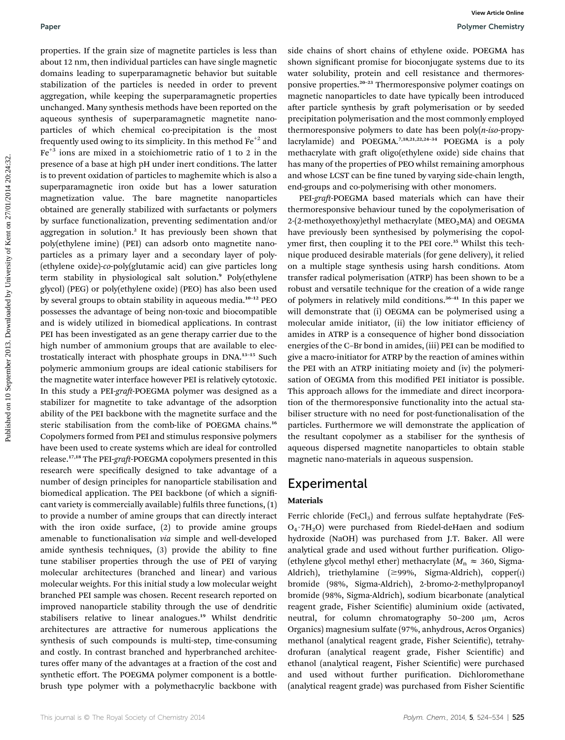properties. If the grain size of magnetite particles is less than about 12 nm, then individual particles can have single magnetic domains leading to superparamagnetic behavior but suitable stabilization of the particles is needed in order to prevent aggregation, while keeping the superparamagnetic properties unchanged. Many synthesis methods have been reported on the aqueous synthesis of superparamagnetic magnetite nanoparticles of which chemical co-precipitation is the most frequently used owing to its simplicity. In this method  $Fe<sup>+2</sup>$  and  $Fe<sup>+3</sup>$  ions are mixed in a stoichiometric ratio of 1 to 2 in the presence of a base at high pH under inert conditions. The latter is to prevent oxidation of particles to maghemite which is also a superparamagnetic iron oxide but has a lower saturation magnetization value. The bare magnetite nanoparticles obtained are generally stabilized with surfactants or polymers by surface functionalization, preventing sedimentation and/or aggregation in solution.<sup>2</sup> It has previously been shown that poly(ethylene imine) (PEI) can adsorb onto magnetite nanoparticles as a primary layer and a secondary layer of poly- (ethylene oxide)-*co*-poly(glutamic acid) can give particles long term stability in physiological salt solution.<sup>9</sup> Poly(ethylene glycol) (PEG) or poly(ethylene oxide) (PEO) has also been used by several groups to obtain stability in aqueous media.<sup>10</sup>–<sup>12</sup> PEO possesses the advantage of being non-toxic and biocompatible and is widely utilized in biomedical applications. In contrast PEI has been investigated as an gene therapy carrier due to the high number of ammonium groups that are available to electrostatically interact with phosphate groups in DNA.<sup>13</sup>–<sup>15</sup> Such polymeric ammonium groups are ideal cationic stabilisers for the magnetite water interface however PEI is relatively cytotoxic. In this study a PEI-graft-POEGMA polymer was designed as a stabilizer for magnetite to take advantage of the adsorption ability of the PEI backbone with the magnetite surface and the steric stabilisation from the comb-like of POEGMA chains.<sup>16</sup> Copolymers formed from PEI and stimulus responsive polymers have been used to create systems which are ideal for controlled release.<sup>17,18</sup> The PEI-graft-POEGMA copolymers presented in this research were specifically designed to take advantage of a number of design principles for nanoparticle stabilisation and biomedical application. The PEI backbone (of which a significant variety is commercially available) fulfils three functions,  $(1)$ to provide a number of amine groups that can directly interact with the iron oxide surface, (2) to provide amine groups amenable to functionalisation *via* simple and well-developed amide synthesis techniques,  $(3)$  provide the ability to fine tune stabiliser properties through the use of PEI of varying molecular architectures (branched and linear) and various molecular weights. For this initial study a low molecular weight branched PEI sample was chosen. Recent research reported on improved nanoparticle stability through the use of dendritic stabilisers relative to linear analogues.<sup>19</sup> Whilst dendritic architectures are attractive for numerous applications the synthesis of such compounds is multi-step, time-consuming and costly. In contrast branched and hyperbranched architectures offer many of the advantages at a fraction of the cost and synthetic effort. The POEGMA polymer component is a bottlebrush type polymer with a polymethacrylic backbone with

side chains of short chains of ethylene oxide. POEGMA has shown significant promise for bioconjugate systems due to its water solubility, protein and cell resistance and thermoresponsive properties.<sup>20</sup>–<sup>23</sup> Thermoresponsive polymer coatings on magnetic nanoparticles to date have typically been introduced after particle synthesis by graft polymerisation or by seeded precipitation polymerisation and the most commonly employed thermoresponsive polymers to date has been poly(*n-iso*-propylacrylamide) and POEGMA.<sup>7,18,21,22,24-34</sup> POEGMA is a poly methacrylate with graft oligo(ethylene oxide) side chains that has many of the properties of PEO whilst remaining amorphous and whose LCST can be fine tuned by varying side-chain length, end-groups and co-polymerising with other monomers.

PEI-graft-POEGMA based materials which can have their thermoresponsive behaviour tuned by the copolymerisation of 2-(2-methoxyethoxy)ethyl methacrylate (MEO<sub>2</sub>MA) and OEGMA have previously been synthesised by polymerising the copolymer first, then coupling it to the PEI core.<sup>35</sup> Whilst this technique produced desirable materials (for gene delivery), it relied on a multiple stage synthesis using harsh conditions. Atom transfer radical polymerisation (ATRP) has been shown to be a robust and versatile technique for the creation of a wide range of polymers in relatively mild conditions.<sup>36</sup>–<sup>41</sup> In this paper we will demonstrate that (i) OEGMA can be polymerised using a molecular amide initiator, (ii) the low initiator efficiency of amides in ATRP is a consequence of higher bond dissociation energies of the C-Br bond in amides, (iii) PEI can be modified to give a macro-initiator for ATRP by the reaction of amines within the PEI with an ATRP initiating moiety and (iv) the polymerisation of OEGMA from this modified PEI initiator is possible. This approach allows for the immediate and direct incorporation of the thermoresponsive functionality into the actual stabiliser structure with no need for post-functionalisation of the particles. Furthermore we will demonstrate the application of the resultant copolymer as a stabiliser for the synthesis of aqueous dispersed magnetite nanoparticles to obtain stable magnetic nano-materials in aqueous suspension.

#### **Experimental**

#### Materials

Ferric chloride (FeCl<sub>3</sub>) and ferrous sulfate heptahydrate (FeS- $O_4$  7H<sub>2</sub>O) were purchased from Riedel-deHaen and sodium hydroxide (NaOH) was purchased from J.T. Baker. All were analytical grade and used without further purification. Oligo-(ethylene glycol methyl ether) methacrylate ( $M_n \approx 360$ , Sigma-Aldrich), triethylamine ( $\geq$ 99%, Sigma-Aldrich), copper(I) bromide (98%, Sigma-Aldrich), 2-bromo-2-methylpropanoyl bromide (98%, Sigma-Aldrich), sodium bicarbonate (analytical reagent grade, Fisher Scientific) aluminium oxide (activated, neutral, for column chromatography 50-200 µm, Acros Organics) magnesium sulfate (97%, anhydrous, Acros Organics) methanol (analytical reagent grade, Fisher Scientific), tetrahydrofuran (analytical reagent grade, Fisher Scientific) and ethanol (analytical reagent, Fisher Scientific) were purchased and used without further purification. Dichloromethane (analytical reagent grade) was purchased from Fisher Scientific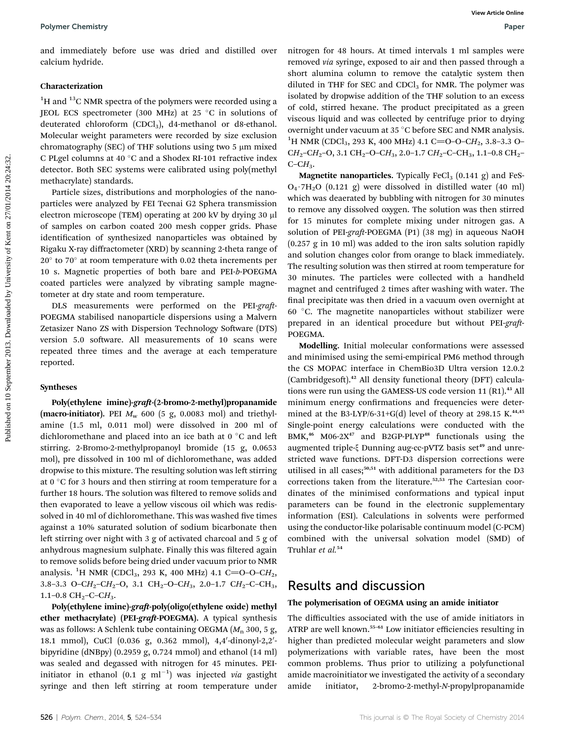and immediately before use was dried and distilled over calcium hydride.

#### Characterization

 $1$ <sup>1</sup>H and  $13$ C NMR spectra of the polymers were recorded using a JEOL ECS spectrometer (300 MHz) at 25  $^{\circ}$ C in solutions of deuterated chloroform (CDCl<sub>3</sub>), d4-methanol or d8-ethanol. Molecular weight parameters were recorded by size exclusion chromatography (SEC) of THF solutions using two 5  $\mu$ m mixed C PLgel columns at 40 °C and a Shodex RI-101 refractive index detector. Both SEC systems were calibrated using poly(methyl methacrylate) standards.

Particle sizes, distributions and morphologies of the nanoparticles were analyzed by FEI Tecnai G2 Sphera transmission electron microscope (TEM) operating at 200 kV by drying 30 µl of samples on carbon coated 200 mesh copper grids. Phase identification of synthesized nanoparticles was obtained by Rigaku X-ray diffractometer (XRD) by scanning 2-theta range of 20° to 70° at room temperature with 0.02 theta increments per 10 s. Magnetic properties of both bare and PEI-*b*-POEGMA coated particles were analyzed by vibrating sample magnetometer at dry state and room temperature.

DLS measurements were performed on the PEI-graft-POEGMA stabilised nanoparticle dispersions using a Malvern Zetasizer Nano ZS with Dispersion Technology Software (DTS) version 5.0 software. All measurements of 10 scans were repeated three times and the average at each temperature reported.

#### Syntheses

Poly(ethylene imine)-graft-(2-bromo-2-methyl)propanamide (macro-initiator). PEI  $M_w$  600 (5 g, 0.0083 mol) and triethylamine (1.5 ml, 0.011 mol) were dissolved in 200 ml of dichloromethane and placed into an ice bath at  $0^{\circ}$ C and left stirring. 2-Bromo-2-methylpropanoyl bromide (15 g, 0.0653 mol), pre dissolved in 100 ml of dichloromethane, was added dropwise to this mixture. The resulting solution was left stirring at  $0^{\circ}$ C for 3 hours and then stirring at room temperature for a further 18 hours. The solution was filtered to remove solids and then evaporated to leave a yellow viscous oil which was redissolved in 40 ml of dichloromethane. This was washed five times against a 10% saturated solution of sodium bicarbonate then left stirring over night with  $3$  g of activated charcoal and  $5$  g of anhydrous magnesium sulphate. Finally this was filtered again to remove solids before being dried under vacuum prior to NMR analysis. <sup>1</sup>H NMR (CDCl<sub>3</sub>, 293 K, 400 MHz) 4.1 C=O-O-CH<sub>2</sub>, 3.8–3.3 O–C $H_2$ –C $H_2$ –O, 3.1 CH<sub>2</sub>–O–C $H_3$ , 2.0–1.7 C $H_2$ –C–CH<sub>3</sub>, 1.1–0.8 CH2–C–C*H*3.

Poly(ethylene imine)-graft-poly(oligo(ethylene oxide) methyl ether methacrylate) (PEI-graft-POEGMA). A typical synthesis was as follows: A Schlenk tube containing OEGMA ( $M_n$  300, 5 g, 18.1 mmol), CuCl (0.036 g, 0.362 mmol), 4,4'-dinonyl-2,2'bipyridine (dNBpy) (0.2959 g, 0.724 mmol) and ethanol (14 ml) was sealed and degassed with nitrogen for 45 minutes. PEIinitiator in ethanol  $(0.1 \text{ g ml}^{-1})$  was injected *via* gastight syringe and then left stirring at room temperature under

nitrogen for 48 hours. At timed intervals 1 ml samples were removed *via* syringe, exposed to air and then passed through a short alumina column to remove the catalytic system then diluted in THF for SEC and  $CDCl<sub>3</sub>$  for NMR. The polymer was isolated by dropwise addition of the THF solution to an excess of cold, stirred hexane. The product precipitated as a green viscous liquid and was collected by centrifuge prior to drying overnight under vacuum at 35 $\degree$ C before SEC and NMR analysis. <sup>1</sup>H NMR (CDCl<sub>3</sub>, 293 K, 400 MHz) 4.1 C=O-O-CH<sub>2</sub>, 3.8-3.3 O-CH<sub>2</sub>–CH<sub>2</sub>–O, 3.1 CH<sub>2</sub>–O–CH<sub>3</sub>, 2.0–1.7 CH<sub>2</sub>–C–CH<sub>3</sub>, 1.1–0.8 CH<sub>2</sub>– C–C*H*3.

**Magnetite nanoparticles.** Typically FeCl<sub>3</sub> (0.141 g) and FeS- $O_4$  7H<sub>2</sub>O (0.121 g) were dissolved in distilled water (40 ml) which was deaerated by bubbling with nitrogen for 30 minutes to remove any dissolved oxygen. The solution was then stirred for 15 minutes for complete mixing under nitrogen gas. A solution of PEI-*graft*-POEGMA (P1) (38 mg) in aqueous NaOH (0.257 g in 10 ml) was added to the iron salts solution rapidly and solution changes color from orange to black immediately. The resulting solution was then stirred at room temperature for 30 minutes. The particles were collected with a handheld magnet and centrifuged 2 times after washing with water. The final precipitate was then dried in a vacuum oven overnight at 60 $\degree$ C. The magnetite nanoparticles without stabilizer were prepared in an identical procedure but without PEI-graft-POEGMA.

Modelling. Initial molecular conformations were assessed and minimised using the semi-empirical PM6 method through the CS MOPAC interface in ChemBio3D Ultra version 12.0.2 (Cambridgesoft).<sup>42</sup> All density functional theory (DFT) calculations were run using the GAMESS-US code version 11 (R1).<sup>43</sup> All minimum energy confirmations and frequencies were determined at the B3-LYP/6-31+G(d) level of theory at 298.15 K.<sup>44,45</sup> Single-point energy calculations were conducted with the  $BMK<sub>1</sub><sup>46</sup> M06-2X<sup>47</sup>$  and B2GP-PLYP<sup>48</sup> functionals using the augmented triple-§ Dunning aug-cc-pVTZ basis set<sup>49</sup> and unrestricted wave functions. DFT-D3 dispersion corrections were utilised in all cases;<sup>50,51</sup> with additional parameters for the D3 corrections taken from the literature.<sup>52,53</sup> The Cartesian coordinates of the minimised conformations and typical input parameters can be found in the electronic supplementary information (ESI). Calculations in solvents were performed using the conductor-like polarisable continuum model (C-PCM) combined with the universal solvation model (SMD) of Truhlar *et al.*<sup>54</sup>

### Results and discussion

#### The polymerisation of OEGMA using an amide initiator

The difficulties associated with the use of amide initiators in ATRP are well known.<sup>55</sup>–<sup>61</sup> Low initiator efficiencies resulting in higher than predicted molecular weight parameters and slow polymerizations with variable rates, have been the most common problems. Thus prior to utilizing a polyfunctional amide macroinitiator we investigated the activity of a secondary amide initiator, 2-bromo-2-methyl-*N*-propylpropanamide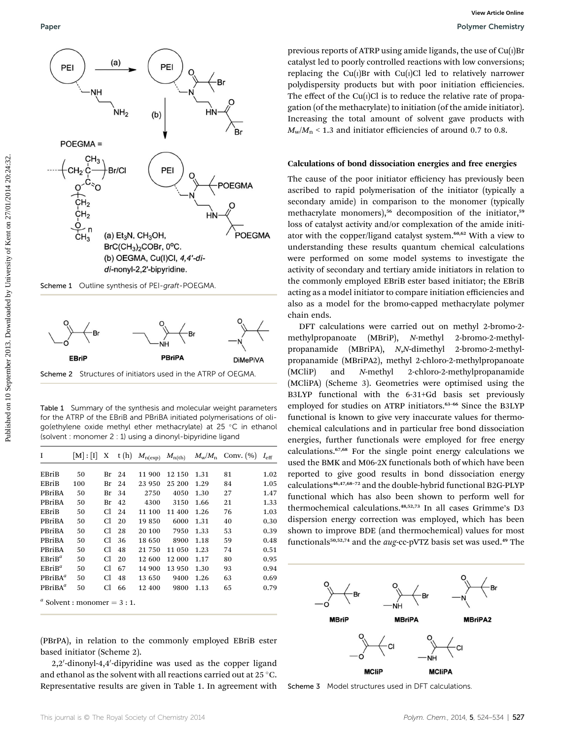



Scheme 2 Structures of initiators used in the ATRP of OEGMA

Table 1 Summary of the synthesis and molecular weight parameters for the ATRP of the EBriB and PBriBA initiated polymerisations of oligo(ethylene oxide methyl ether methacrylate) at 25 °C in ethanol (solvent : monomer 2 : 1) using a dinonyl-bipyridine ligand

| I                                  | M : I | X  | t(h) | $M_{n(\exp)}$ | $M_{\rm n(th)}$ |      | $M_{\rm w}/M_{\rm n}$ Conv. (%) | $I_{\rm eff}$ |
|------------------------------------|-------|----|------|---------------|-----------------|------|---------------------------------|---------------|
|                                    |       |    |      |               |                 |      |                                 |               |
| EBriB                              | 50    | Br | 24   | 11 900        | 12 150          | 1.31 | 81                              | 1.02          |
| EBriB                              | 100   | Br | 24   | 23 950        | 25 200          | 1.29 | 84                              | 1.05          |
| PBriBA                             | 50    | Br | 34   | 2750          | 4050            | 1.30 | 27                              | 1.47          |
| PBriBA                             | 50    | Br | 42   | 4300          | 3150            | 1.66 | 21                              | 1.33          |
| EBriB                              | 50    | Cl | 24   | 11 100        | 11 400          | 1.26 | 76                              | 1.03          |
| PBriBA                             | 50    | Cl | 20   | 19850         | 6000            | 1.31 | 40                              | 0.30          |
| <b>PBriBA</b>                      | 50    | Сl | 28   | 20 100        | 7950            | 1.33 | 53                              | 0.39          |
| <b>PBriBA</b>                      | 50    | Сl | 36   | 18 650        | 8900            | 1.18 | 59                              | 0.48          |
| PBriBA                             | 50    | Сl | 48   | 21 750        | 11 050          | 1.23 | 74                              | 0.51          |
| $EBriB^a$                          | 50    | Сl | 20   | 12 600        | 12 000          | 1.17 | 80                              | 0.95          |
| $EBriB^a$                          | 50    | Сl | 67   | 14 900        | 13 950          | 1.30 | 93                              | 0.94          |
| PBriBA <sup>a</sup>                | 50    | Cl | 48   | 13 650        | 9400            | 1.26 | 63                              | 0.69          |
| PBriBA <sup>a</sup>                | 50    | Cl | 66   | 12 400        | 9800            | 1.13 | 65                              | 0.79          |
| $a^{a}$ Solvent : monomer = 3 : 1. |       |    |      |               |                 |      |                                 |               |

(PBrPA), in relation to the commonly employed EBriB ester based initiator (Scheme 2).

2,2'-dinonyl-4,4'-dipyridine was used as the copper ligand and ethanol as the solvent with all reactions carried out at 25  $^{\circ} \mathrm C.$ Representative results are given in Table 1. In agreement with

previous reports of ATRP using amide ligands, the use of  $Cu(1)Br$ catalyst led to poorly controlled reactions with low conversions; replacing the Cu( $I$ )Br with Cu( $I$ )Cl led to relatively narrower polydispersity products but with poor initiation efficiencies. The effect of the Cu $(i)$ Cl is to reduce the relative rate of propagation (of the methacrylate) to initiation (of the amide initiator). Increasing the total amount of solvent gave products with  $M_{\text{w}}/M_{\text{n}}$  < 1.3 and initiator efficiencies of around 0.7 to 0.8.

#### Calculations of bond dissociation energies and free energies

The cause of the poor initiator efficiency has previously been ascribed to rapid polymerisation of the initiator (typically a secondary amide) in comparison to the monomer (typically methacrylate monomers),<sup>56</sup> decomposition of the initiator,<sup>59</sup> loss of catalyst activity and/or complexation of the amide initiator with the copper/ligand catalyst system.<sup>60,62</sup> With a view to understanding these results quantum chemical calculations were performed on some model systems to investigate the activity of secondary and tertiary amide initiators in relation to the commonly employed EBriB ester based initiator; the EBriB acting as a model initiator to compare initiation efficiencies and also as a model for the bromo-capped methacrylate polymer chain ends.

DFT calculations were carried out on methyl 2-bromo-2 methylpropanoate (MBriP), *N*-methyl 2-bromo-2-methylpropanamide (MBriPA), *N*,*N*-dimethyl 2-bromo-2-methylpropanamide (MBriPA2), methyl 2-chloro-2-methylpropanoate (MCliP) and *N*-methyl 2-chloro-2-methylpropanamide (MCliPA) (Scheme 3). Geometries were optimised using the B3LYP functional with the 6-31+Gd basis set previously employed for studies on ATRP initiators.<sup>63-66</sup> Since the B3LYP functional is known to give very inaccurate values for thermochemical calculations and in particular free bond dissociation energies, further functionals were employed for free energy calculations.67,68 For the single point energy calculations we used the BMK and M06-2X functionals both of which have been reported to give good results in bond dissociation energy calculations46,47,68–<sup>72</sup> and the double-hybrid functional B2G-PLYP functional which has also been shown to perform well for thermochemical calculations.48,52,73 In all cases Grimme's D3 dispersion energy correction was employed, which has been shown to improve BDE (and thermochemical) values for most functionals<sup>50,52,74</sup> and the *aug*-cc-pVTZ basis set was used.<sup>49</sup> The



Scheme 3 Model structures used in DFT calculations.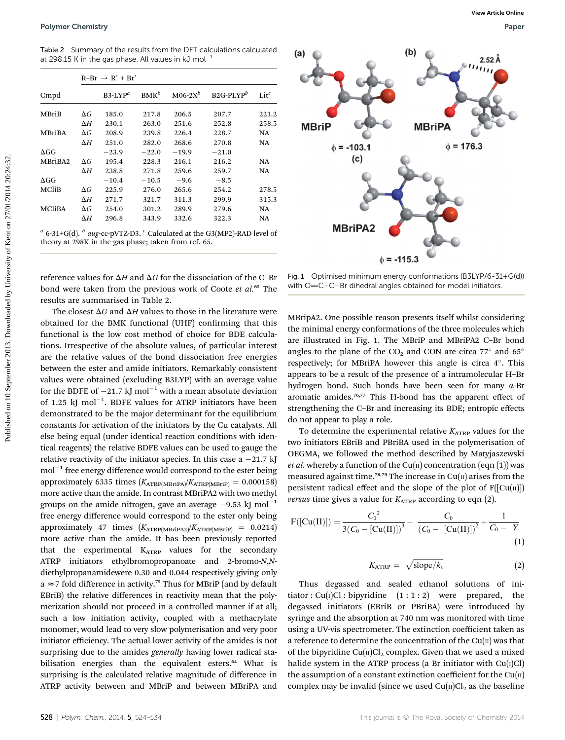Table 2 Summary of the results from the DFT calculations calculated at 298.15 K in the gas phase. All values in kJ mol $^{-1}$ 

|               |            | $R-Br \rightarrow R' + Br'$ |            |            |              |                |  |  |  |
|---------------|------------|-----------------------------|------------|------------|--------------|----------------|--|--|--|
| Cmpd          |            | $B3-LYP^a$                  | $BMK^b$    | $M06-2X^b$ | $B2G-PLYP^b$ | $_{\rm Lit}^c$ |  |  |  |
| <b>MBriB</b>  | $\Delta G$ | 185.0                       | 217.8      | 206.5      | 207.7        | 221.2          |  |  |  |
|               | $\Delta H$ | 230.1                       | 263.0      | 251.6      | 252.8        | 258.5          |  |  |  |
| <b>MBriBA</b> | $\Delta G$ | 208.9                       | 239.8      | 226.4      | 228.7        | <b>NA</b>      |  |  |  |
|               | $\Delta H$ | 251.0                       | 282.0      | 268.6      | 270.8        | NA             |  |  |  |
| $\Delta GG$   |            | $-23.9$                     | $-22.0$    | $-19.9$    | $-21.0$      |                |  |  |  |
| MBriBA2       | $\Delta G$ | 195.4                       | 228.3      | 216.1      | 216.2        | NA             |  |  |  |
|               | $\Delta H$ | 238.8                       | 271.8      | 259.6      | 259.7        | NA             |  |  |  |
| $\Delta GG$   |            | $-10.4$                     | $^{-10.5}$ | $-9.6$     | $-8.5$       |                |  |  |  |
| MCliB         | $\Delta G$ | 225.9                       | 276.0      | 265.6      | 254.2        | 278.5          |  |  |  |
|               | $\Delta H$ | 271.7                       | 321.7      | 311.3      | 299.9        | 315.3          |  |  |  |
| <b>MCliBA</b> | $\Delta G$ | 254.0                       | 301.2      | 289.9      | 279.6        | <b>NA</b>      |  |  |  |
|               | $\Delta H$ | 296.8                       | 343.9      | 332.6      | 322.3        | NA             |  |  |  |

*a* 6-31+G(d). *<sup>b</sup> aug*-cc-pVTZ-D3. *<sup>c</sup>* Calculated at the G3(MP2)-RAD level of theory at 298K in the gas phase; taken from ref. 65.

reference values for  $\Delta H$  and  $\Delta G$  for the dissociation of the C–Br bond were taken from the previous work of Coote *et al.*<sup>65</sup> The results are summarised in Table 2.

The closest  $\Delta G$  and  $\Delta H$  values to those in the literature were obtained for the BMK functional (UHF) confirming that this functional is the low cost method of choice for BDE calculations. Irrespective of the absolute values, of particular interest are the relative values of the bond dissociation free energies between the ester and amide initiators. Remarkably consistent values were obtained (excluding B3LYP) with an average value for the BDFE of  $-21.7$  kJ mol<sup>-1</sup> with a mean absolute deviation of 1.25 kJ mol<sup>-1</sup>. BDFE values for ATRP initiators have been demonstrated to be the major determinant for the equilibrium constants for activation of the initiators by the Cu catalysts. All else being equal (under identical reaction conditions with identical reagents) the relative BDFE values can be used to gauge the relative reactivity of the initiator species. In this case a  $-21.7$  kJ  $\text{mol}^{-1}$  free energy difference would correspond to the ester being approximately 6335 times  $(K_{\text{ATRP(MBriPA})}/K_{\text{ATRP(MBriP)}} = 0.000158)$ more active than the amide. In contrast MBriPA2 with two methyl groups on the amide nitrogen, gave an average  $-9.53$  kJ mol<sup>-1</sup> free energy difference would correspond to the ester only being approximately 47 times  $(K_{ATRP(MBriPA2)}/K_{ATRP(MBriP)} = 0.0214)$ more active than the amide. It has been previously reported that the experimental KATRP values for the secondary ATRP initiators ethylbromopropanoate and 2-bromo-*N*,*N*diethylpropanamidewere 0.30 and 0.044 respectively giving only a  $\approx$  7 fold difference in activity.<sup>75</sup> Thus for MBriP (and by default EBriB) the relative differences in reactivity mean that the polymerization should not proceed in a controlled manner if at all; such a low initiation activity, coupled with a methacrylate monomer, would lead to very slow polymerisation and very poor initiator efficiency. The actual lower activity of the amides is not surprising due to the amides *generally* having lower radical stabilisation energies than the equivalent esters.<sup>64</sup> What is surprising is the calculated relative magnitude of difference in ATRP activity between and MBriP and between MBriPA and



Fig. 1 Optimised minimum energy conformations (B3LYP/6-31+G(d)) with O=C–C–Br dihedral angles obtained for model initiators.

MBripA2. One possible reason presents itself whilst considering the minimal energy conformations of the three molecules which are illustrated in Fig. 1. The MBriP and MBriPA2 C–Br bond angles to the plane of the  $CO<sub>2</sub>$  and  $CON$  are circa  $77^{\circ}$  and  $65^{\circ}$ respectively; for MBriPA however this angle is circa 4°. This appears to be a result of the presence of a intramolecular H–Br hydrogen bond. Such bonds have been seen for many a-Br aromatic amides.<sup>76,77</sup> This H-bond has the apparent effect of strengthening the C–Br and increasing its BDE; entropic effects do not appear to play a role.

To determine the experimental relative  $K_{ATRP}$  values for the two initiators EBriB and PBriBA used in the polymerisation of OEGMA, we followed the method described by Matyjaszewski *et al.* whereby a function of the Cu( $\pi$ ) concentration (eqn (1)) was measured against time.<sup>78,79</sup> The increase in  $Cu(II)$  arises from the persistent radical effect and the slope of the plot of  $F([Cu(n)])$ *versus* time gives a value for  $K_{ATRP}$  according to eqn (2).

$$
F([Cu(II)]) = \frac{C_0^2}{3(C_0 - [Cu(II)])^3} - \frac{C_0}{(C_0 - [Cu(II)])^2} + \frac{1}{C_0 - Y}
$$
\n(1)

$$
K_{\text{ATRP}} = \sqrt{\text{slope}/k_{\text{t}}}
$$
 (2)

Thus degassed and sealed ethanol solutions of initiator : Cu(I)Cl : bipyridine  $(1 : 1 : 2)$  were prepared, the degassed initiators (EBriB or PBriBA) were introduced by syringe and the absorption at 740 nm was monitored with time using a UV-vis spectrometer. The extinction coefficient taken as a reference to determine the concentration of the  $Cu(II)$  was that of the bipyridine  $Cu(n)Cl<sub>2</sub>$  complex. Given that we used a mixed halide system in the ATRP process (a Br initiator with  $Cu(I)Cl$ ) the assumption of a constant extinction coefficient for the  $Cu(II)$ complex may be invalid (since we used  $Cu(II)Cl<sub>2</sub>$  as the baseline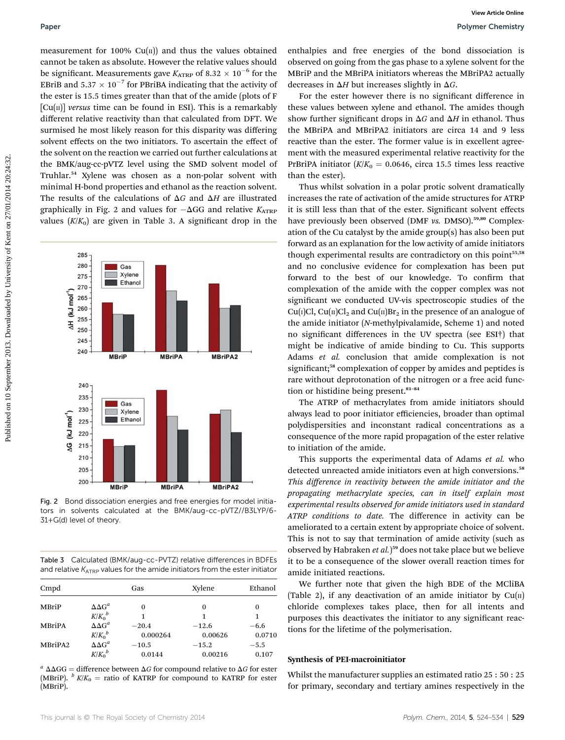measurement for 100%  $Cu(n)$  and thus the values obtained cannot be taken as absolute. However the relative values should be significant. Measurements gave  $K_{\text{ATRP}}$  of 8.32  $\times$  10<sup>-6</sup> for the EBriB and 5.37  $\times$  10 $^{-7}$  for PBriBA indicating that the activity of the ester is 15.5 times greater than that of the amide (plots of F  $[Cu(\pi)]$  *versus* time can be found in ESI). This is a remarkably different relative reactivity than that calculated from DFT. We surmised he most likely reason for this disparity was differing solvent effects on the two initiators. To ascertain the effect of the solvent on the reaction we carried out further calculations at the BMK/aug-cc-pVTZ level using the SMD solvent model of Truhlar.<sup>54</sup> Xylene was chosen as a non-polar solvent with minimal H-bond properties and ethanol as the reaction solvent. The results of the calculations of  $\Delta G$  and  $\Delta H$  are illustrated graphically in Fig. 2 and values for  $-\Delta GG$  and relative  $K_{ATRP}$ values  $(K/K_0)$  are given in Table 3. A significant drop in the



Fig. 2 Bond dissociation energies and free energies for model initiators in solvents calculated at the BMK/aug-cc-pVTZ//B3LYP/6- 31+G(d) level of theory.

Table 3 Calculated (BMK/aug-cc-PVTZ) relative differences in BDFEs and relative  $K_{ATRP}$  values for the amide initiators from the ester initiator

| Cmpd                |                     | Gas      | Xylene  | Ethanol |
|---------------------|---------------------|----------|---------|---------|
| <b>MBriP</b>        | $\Delta \Delta G^a$ | 0        | 0       | 0       |
|                     | $K/K_0^b$           | 1        | 1       | 1       |
| <b>MBriPA</b>       | $\Delta \Delta G^a$ | $-20.4$  | $-12.6$ | $-6.6$  |
|                     | $K/K_0^b$           | 0.000264 | 0.00626 | 0.0710  |
| MBriPA <sub>2</sub> | $\Delta \Delta G^a$ | $-10.5$  | $-15.2$ | $-5.5$  |
|                     | $K/K_0^b$           | 0.0144   | 0.00216 | 0.107   |

 $a^{a} \Delta\Delta GG$  = difference between  $\Delta G$  for compound relative to  $\Delta G$  for ester (MBriP).  $\frac{b}{K/K_0}$  = ratio of KATRP for compound to KATRP for ester (MBriP).

enthalpies and free energies of the bond dissociation is observed on going from the gas phase to a xylene solvent for the MBriP and the MBriPA initiators whereas the MBriPA2 actually decreases in  $\Delta H$  but increases slightly in  $\Delta G$ .

For the ester however there is no significant difference in these values between xylene and ethanol. The amides though show further significant drops in  $\Delta G$  and  $\Delta H$  in ethanol. Thus the MBriPA and MBriPA2 initiators are circa 14 and 9 less reactive than the ester. The former value is in excellent agreement with the measured experimental relative reactivity for the PrBriPA initiator  $(K/K_0 = 0.0646$ , circa 15.5 times less reactive than the ester).

Thus whilst solvation in a polar protic solvent dramatically increases the rate of activation of the amide structures for ATRP it is still less than that of the ester. Significant solvent effects have previously been observed (DMF *vs. DMSO*).<sup>59,80</sup> Complexation of the Cu catalyst by the amide group(s) has also been put forward as an explanation for the low activity of amide initiators though experimental results are contradictory on this point<sup>55,58</sup> and no conclusive evidence for complexation has been put forward to the best of our knowledge. To confirm that complexation of the amide with the copper complex was not significant we conducted UV-vis spectroscopic studies of the Cu(I)Cl, Cu(II)Cl<sub>2</sub> and Cu(II)Br<sub>2</sub> in the presence of an analogue of the amide initiator (*N*-methylpivalamide, Scheme 1) and noted no signicant differences in the UV spectra (see ESI†) that might be indicative of amide binding to Cu. This supports Adams *et al.* conclusion that amide complexation is not significant;<sup>58</sup> complexation of copper by amides and peptides is rare without deprotonation of the nitrogen or a free acid function or histidine being present.<sup>81-84</sup>

The ATRP of methacrylates from amide initiators should always lead to poor initiator efficiencies, broader than optimal polydispersities and inconstant radical concentrations as a consequence of the more rapid propagation of the ester relative to initiation of the amide.

This supports the experimental data of Adams *et al.* who detected unreacted amide initiators even at high conversions.<sup>58</sup> *This di*ff*erence in reactivity between the amide initiator and the propagating methacrylate species, can in itself explain most experimental results observed for amide initiators used in standard ATRP conditions to date.* The difference in activity can be ameliorated to a certain extent by appropriate choice of solvent. This is not to say that termination of amide activity (such as observed by Habraken *et al.*) <sup>59</sup> does not take place but we believe it to be a consequence of the slower overall reaction times for amide initiated reactions.

We further note that given the high BDE of the MCliBA (Table 2), if any deactivation of an amide initiator by  $Cu(II)$ chloride complexes takes place, then for all intents and purposes this deactivates the initiator to any significant reactions for the lifetime of the polymerisation.

#### Synthesis of PEI-macroinitiator

Whilst the manufacturer supplies an estimated ratio 25 : 50 : 25 for primary, secondary and tertiary amines respectively in the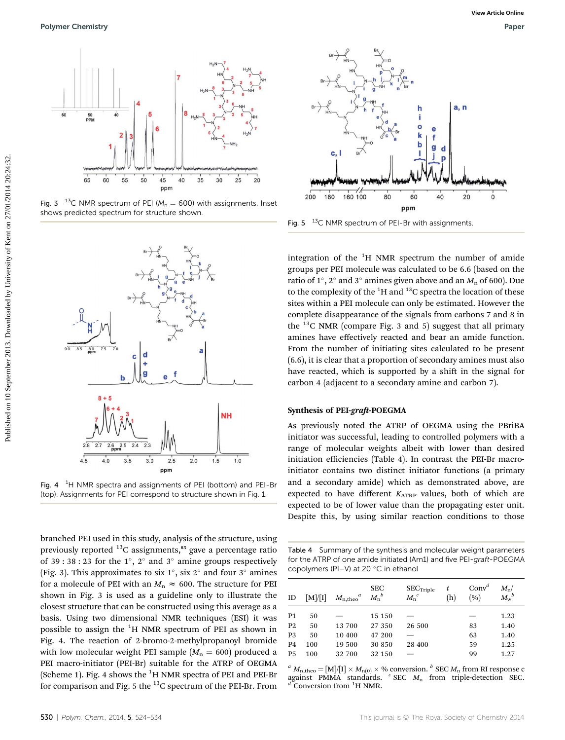

Fig. 3  $13^{\circ}$ C NMR spectrum of PEI ( $M_n = 600$ ) with assignments. Inset shows predicted spectrum for structure shown.



Fig. 4  $1H$  NMR spectra and assignments of PEI (bottom) and PEI-Br (top). Assignments for PEI correspond to structure shown in Fig. 1.

branched PEI used in this study, analysis of the structure, using previously reported  $^{13}$ C assignments,<sup>85</sup> gave a percentage ratio of 39 : 38 : 23 for the  $1^{\circ}$ ,  $2^{\circ}$  and  $3^{\circ}$  amine groups respectively (Fig. 3). This approximates to six  $1^{\circ}$ , six  $2^{\circ}$  and four  $3^{\circ}$  amines for a molecule of PEI with an  $M_n \approx 600$ . The structure for PEI shown in Fig. 3 is used as a guideline only to illustrate the closest structure that can be constructed using this average as a basis. Using two dimensional NMR techniques (ESI) it was possible to assign the  ${}^{1}$ H NMR spectrum of PEI as shown in Fig. 4. The reaction of 2-bromo-2-methylpropanoyl bromide with low molecular weight PEI sample  $(M_n = 600)$  produced a PEI macro-initiator (PEI-Br) suitable for the ATRP of OEGMA (Scheme 1). Fig. 4 shows the <sup>1</sup>H NMR spectra of PEI and PEI-Br for comparison and Fig. 5 the  $^{13}$ C spectrum of the PEI-Br. From



Fig.  $5<sup>-13</sup>C$  NMR spectrum of PEI-Br with assignments.

integration of the  ${}^{1}H$  NMR spectrum the number of amide groups per PEI molecule was calculated to be 6.6 (based on the ratio of 1°, 2° and 3° amines given above and an  $M_n$  of 600). Due to the complexity of the  ${}^{1}$ H and  ${}^{13}$ C spectra the location of these sites within a PEI molecule can only be estimated. However the complete disappearance of the signals from carbons 7 and 8 in the  $^{13}$ C NMR (compare Fig. 3 and 5) suggest that all primary amines have effectively reacted and bear an amide function. From the number of initiating sites calculated to be present (6.6), it is clear that a proportion of secondary amines must also have reacted, which is supported by a shift in the signal for carbon 4 (adjacent to a secondary amine and carbon 7).

#### Synthesis of PEI-graft-POEGMA

As previously noted the ATRP of OEGMA using the PBriBA initiator was successful, leading to controlled polymers with a range of molecular weights albeit with lower than desired initiation efficiencies (Table 4). In contrast the PEI-Br macroinitiator contains two distinct initiator functions (a primary and a secondary amide) which as demonstrated above, are expected to have different *KATRP* values, both of which are expected to be of lower value than the propagating ester unit. Despite this, by using similar reaction conditions to those

Table 4 Summary of the synthesis and molecular weight parameters for the ATRP of one amide initiated (Am1) and five PEI-graft-POEGMA copolymers (PI-V) at 20 $\degree$ C in ethanol

| ID             | $\lceil M \rceil / \lceil I \rceil$ | $M_{\rm n,theo}^{\qquad a}$ | <b>SEC</b><br>$M_{n}{}^{b}$ | $SEC_{Triple}$<br>$M_{\rm n}^{\;\;c}$ | t<br>(h) | Conv <sup>d</sup><br>(9) | $M_{\rm n}$ /<br>$M_{\rm w}{}^b$ |
|----------------|-------------------------------------|-----------------------------|-----------------------------|---------------------------------------|----------|--------------------------|----------------------------------|
| P <sub>1</sub> | 50                                  |                             | 15 150                      |                                       |          |                          | 1.23                             |
| P <sub>2</sub> | 50                                  | 13 700                      | 27 350                      | 26 500                                |          | 83                       | 1.40                             |
| P <sub>3</sub> | 50                                  | 10 400                      | 47 200                      |                                       |          | 63                       | 1.40                             |
| <b>P4</b>      | 100                                 | 19 500                      | 30 850                      | 28 400                                |          | 59                       | 1.25                             |
| P <sub>5</sub> | 100                                 | 32 700                      | 32 150                      |                                       |          | 99                       | 1.27                             |

 ${}^a$  *M*<sub>n,theo</sub> = [M]/[I]  $\times$  *M*<sub>n(0)</sub>  $\times$  % conversion. <sup>*b*</sup> SEC *M*<sub>n</sub> from RI response c against PMMA standards. *<sup>c</sup>* SEC *M*<sub>n</sub> from triple-detection SEC. Conversion from <sup>1</sup>H NMR.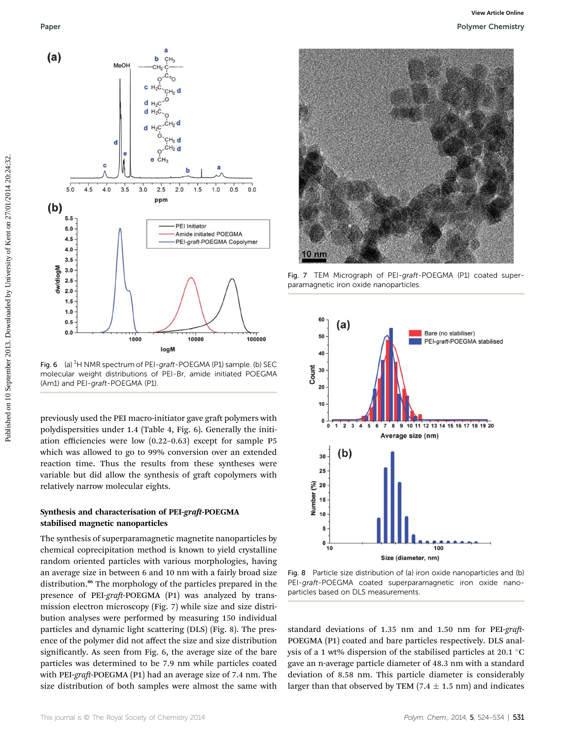

Fig. 6 (a)  ${}^{1}$ H NMR spectrum of PEI-graft-POEGMA (P1) sample. (b) SEC molecular weight distributions of PEI-Br, amide initiated POEGMA (Am1) and PEI-graft-POEGMA (P1).

previously used the PEI macro-initiator gave graft polymers with polydispersities under 1.4 (Table 4, Fig. 6). Generally the initiation efficiencies were low (0.22–0.63) except for sample P5 which was allowed to go to 99% conversion over an extended reaction time. Thus the results from these syntheses were variable but did allow the synthesis of graft copolymers with relatively narrow molecular eights.

#### Synthesis and characterisation of PEI-graft-POEGMA stabilised magnetic nanoparticles

The synthesis of superparamagnetic magnetite nanoparticles by chemical coprecipitation method is known to yield crystalline random oriented particles with various morphologies, having an average size in between 6 and 10 nm with a fairly broad size distribution.<sup>86</sup> The morphology of the particles prepared in the presence of PEI-*graft*-POEGMA (P1) was analyzed by transmission electron microscopy (Fig. 7) while size and size distribution analyses were performed by measuring 150 individual particles and dynamic light scattering (DLS) (Fig. 8). The presence of the polymer did not affect the size and size distribution significantly. As seen from Fig. 6, the average size of the bare particles was determined to be 7.9 nm while particles coated with PEI-graft-POEGMA (P1) had an average size of 7.4 nm. The size distribution of both samples were almost the same with



Fig. 7 TEM Micrograph of PEI-graft-POEGMA (P1) coated superparamagnetic iron oxide nanoparticles.



Fig. 8 Particle size distribution of (a) iron oxide nanoparticles and (b) PEI-graft-POEGMA coated superparamagnetic iron oxide nanoparticles based on DLS measurements.

standard deviations of 1.35 nm and 1.50 nm for PEI-graft-POEGMA (P1) coated and bare particles respectively. DLS analysis of a 1 wt% dispersion of the stabilised particles at 20.1  $\degree$ C gave an n-average particle diameter of 48.3 nm with a standard deviation of 8.58 nm. This particle diameter is considerably larger than that observed by TEM (7.4  $\pm$  1.5 nm) and indicates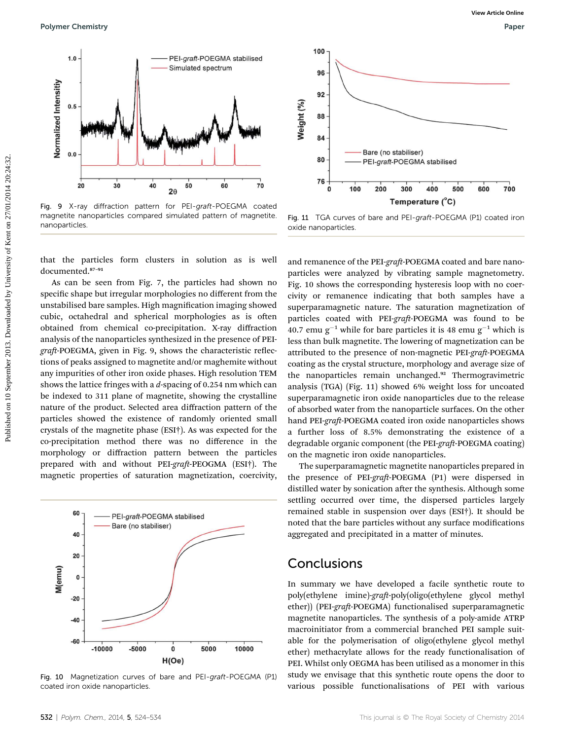

Fig. 9 X-ray diffraction pattern for PEI-graft-POEGMA coated magnetite nanoparticles compared simulated pattern of magnetite. nanoparticles.

that the particles form clusters in solution as is well documented.<sup>87</sup>–<sup>91</sup>

As can be seen from Fig. 7, the particles had shown no specific shape but irregular morphologies no different from the unstabilised bare samples. High magnification imaging showed cubic, octahedral and spherical morphologies as is often obtained from chemical co-precipitation. X-ray diffraction analysis of the nanoparticles synthesized in the presence of PEIgraft-POEGMA, given in Fig. 9, shows the characteristic reflections of peaks assigned to magnetite and/or maghemite without any impurities of other iron oxide phases. High resolution TEM shows the lattice fringes with a *d*-spacing of 0.254 nm which can be indexed to 311 plane of magnetite, showing the crystalline nature of the product. Selected area diffraction pattern of the particles showed the existence of randomly oriented small crystals of the magnetite phase (ESI†). As was expected for the co-precipitation method there was no difference in the morphology or diffraction pattern between the particles prepared with and without PEI-graft-PEOGMA (ESI†). The magnetic properties of saturation magnetization, coercivity,



Fig. 10 Magnetization curves of bare and PEI-graft-POEGMA (P1) coated iron oxide nanoparticles.



Fig. 11 TGA curves of bare and PEI-graft-POEGMA (P1) coated iron oxide nanoparticles.

and remanence of the PEI-graft-POEGMA coated and bare nanoparticles were analyzed by vibrating sample magnetometry. Fig. 10 shows the corresponding hysteresis loop with no coercivity or remanence indicating that both samples have a superparamagnetic nature. The saturation magnetization of particles coated with PEI-graft-POEGMA was found to be 40.7 emu  $g^{-1}$  while for bare particles it is 48 emu  $g^{-1}$  which is less than bulk magnetite. The lowering of magnetization can be attributed to the presence of non-magnetic PEI-graft-POEGMA coating as the crystal structure, morphology and average size of the nanoparticles remain unchanged.<sup>92</sup> Thermogravimetric analysis (TGA) (Fig. 11) showed 6% weight loss for uncoated superparamagnetic iron oxide nanoparticles due to the release of absorbed water from the nanoparticle surfaces. On the other hand PEI-graft-POEGMA coated iron oxide nanoparticles shows a further loss of 8.5% demonstrating the existence of a degradable organic component (the PEI-*graft*-POEGMA coating) on the magnetic iron oxide nanoparticles.

The superparamagnetic magnetite nanoparticles prepared in the presence of PEI-graft-POEGMA (P1) were dispersed in distilled water by sonication after the synthesis. Although some settling occurred over time, the dispersed particles largely remained stable in suspension over days (ESI†). It should be noted that the bare particles without any surface modifications aggregated and precipitated in a matter of minutes.

#### **Conclusions**

In summary we have developed a facile synthetic route to poly(ethylene imine)-graft-poly(oligo(ethylene glycol methyl ether)) (PEI-*graft*-POEGMA) functionalised superparamagnetic magnetite nanoparticles. The synthesis of a poly-amide ATRP macroinitiator from a commercial branched PEI sample suitable for the polymerisation of oligo(ethylene glycol methyl ether) methacrylate allows for the ready functionalisation of PEI. Whilst only OEGMA has been utilised as a monomer in this study we envisage that this synthetic route opens the door to various possible functionalisations of PEI with various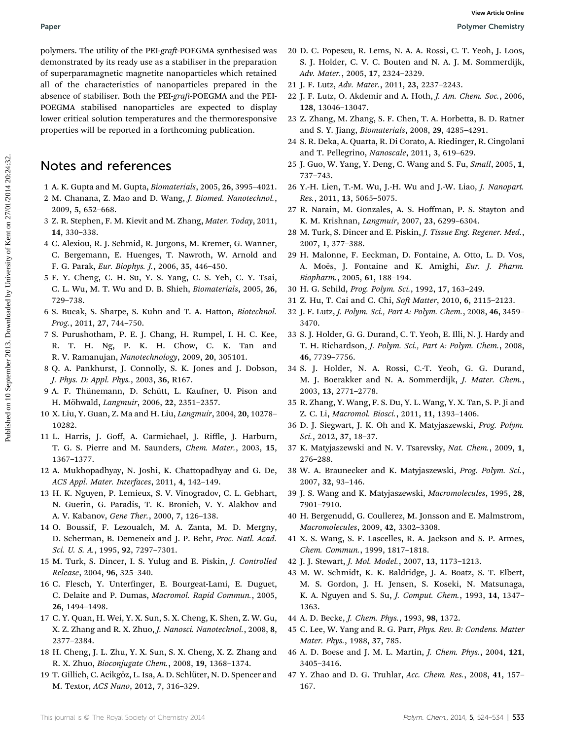polymers. The utility of the PEI-*graft*-POEGMA synthesised was demonstrated by its ready use as a stabiliser in the preparation of superparamagnetic magnetite nanoparticles which retained all of the characteristics of nanoparticles prepared in the absence of stabiliser. Both the PEI-graft-POEGMA and the PEI-POEGMA stabilised nanoparticles are expected to display lower critical solution temperatures and the thermoresponsive properties will be reported in a forthcoming publication.

### Notes and references

- 1 A. K. Gupta and M. Gupta, *Biomaterials*, 2005, 26, 3995–4021.
- 2 M. Chanana, Z. Mao and D. Wang, *J. Biomed. Nanotechnol.*, 2009, 5, 652–668.
- 3 Z. R. Stephen, F. M. Kievit and M. Zhang, *Mater. Today*, 2011, 14, 330–338.
- 4 C. Alexiou, R. J. Schmid, R. Jurgons, M. Kremer, G. Wanner, C. Bergemann, E. Huenges, T. Nawroth, W. Arnold and F. G. Parak, *Eur. Biophys. J.*, 2006, 35, 446–450.
- 5 F. Y. Cheng, C. H. Su, Y. S. Yang, C. S. Yeh, C. Y. Tsai, C. L. Wu, M. T. Wu and D. B. Shieh, *Biomaterials*, 2005, 26, 729–738.
- 6 S. Bucak, S. Sharpe, S. Kuhn and T. A. Hatton, *Biotechnol. Prog.*, 2011, 27, 744–750.
- 7 S. Purushotham, P. E. J. Chang, H. Rumpel, I. H. C. Kee, R. T. H. Ng, P. K. H. Chow, C. K. Tan and R. V. Ramanujan, *Nanotechnology*, 2009, 20, 305101.
- 8 Q. A. Pankhurst, J. Connolly, S. K. Jones and J. Dobson, *J. Phys. D: Appl. Phys.*, 2003, 36, R167.
- 9 A. F. Thünemann, D. Schütt, L. Kaufner, U. Pison and H. M¨ohwald, *Langmuir*, 2006, 22, 2351–2357.
- 10 X. Liu, Y. Guan, Z. Ma and H. Liu, *Langmuir*, 2004, 20, 10278– 10282.
- 11 L. Harris, J. Goff, A. Carmichael, J. Riffle, J. Harburn, T. G. S. Pierre and M. Saunders, *Chem. Mater.*, 2003, 15, 1367–1377.
- 12 A. Mukhopadhyay, N. Joshi, K. Chattopadhyay and G. De, *ACS Appl. Mater. Interfaces*, 2011, 4, 142–149.
- 13 H. K. Nguyen, P. Lemieux, S. V. Vinogradov, C. L. Gebhart, N. Guerin, G. Paradis, T. K. Bronich, V. Y. Alakhov and A. V. Kabanov, *Gene Ther.*, 2000, 7, 126–138.
- 14 O. Boussif, F. Lezoualch, M. A. Zanta, M. D. Mergny, D. Scherman, B. Demeneix and J. P. Behr, *Proc. Natl. Acad. Sci. U. S. A.*, 1995, 92, 7297–7301.
- 15 M. Turk, S. Dincer, I. S. Yulug and E. Piskin, *J. Controlled Release*, 2004, 96, 325–340.
- 16 C. Flesch, Y. Unterfinger, E. Bourgeat-Lami, E. Duguet, C. Delaite and P. Dumas, *Macromol. Rapid Commun.*, 2005, 26, 1494–1498.
- 17 C. Y. Quan, H. Wei, Y. X. Sun, S. X. Cheng, K. Shen, Z. W. Gu, X. Z. Zhang and R. X. Zhuo, *J. Nanosci. Nanotechnol.*, 2008, 8, 2377–2384.
- 18 H. Cheng, J. L. Zhu, Y. X. Sun, S. X. Cheng, X. Z. Zhang and R. X. Zhuo, *Bioconjugate Chem.*, 2008, 19, 1368–1374.
- 19 T. Gillich, C. Acikgöz, L. Isa, A. D. Schlüter, N. D. Spencer and M. Textor, *ACS Nano*, 2012, 7, 316–329.
- 20 D. C. Popescu, R. Lems, N. A. A. Rossi, C. T. Yeoh, J. Loos, S. J. Holder, C. V. C. Bouten and N. A. J. M. Sommerdijk, *Adv. Mater.*, 2005, 17, 2324–2329.
- 21 J. F. Lutz, *Adv. Mater.*, 2011, 23, 2237–2243.
- 22 J. F. Lutz, O. Akdemir and A. Hoth, *J. Am. Chem. Soc.*, 2006, 128, 13046–13047.
- 23 Z. Zhang, M. Zhang, S. F. Chen, T. A. Horbetta, B. D. Ratner and S. Y. Jiang, *Biomaterials*, 2008, 29, 4285–4291.
- 24 S. R. Deka, A. Quarta, R. Di Corato, A. Riedinger, R. Cingolani and T. Pellegrino, *Nanoscale*, 2011, 3, 619–629.
- 25 J. Guo, W. Yang, Y. Deng, C. Wang and S. Fu, *Small*, 2005, 1, 737–743.
- 26 Y.-H. Lien, T.-M. Wu, J.-H. Wu and J.-W. Liao, *J. Nanopart. Res.*, 2011, 13, 5065–5075.
- 27 R. Narain, M. Gonzales, A. S. Hoffman, P. S. Stayton and K. M. Krishnan, *Langmuir*, 2007, 23, 6299–6304.
- 28 M. Turk, S. Dincer and E. Piskin, *J. Tissue Eng. Regener. Med.*, 2007, 1, 377–388.
- 29 H. Malonne, F. Eeckman, D. Fontaine, A. Otto, L. D. Vos, A. Moës, J. Fontaine and K. Amighi, *Eur. J. Pharm. Biopharm.*, 2005, 61, 188–194.
- 30 H. G. Schild, *Prog. Polym. Sci.*, 1992, 17, 163–249.
- 31 Z. Hu, T. Cai and C. Chi, *Soft Matter*, 2010, 6, 2115-2123.
- 32 J. F. Lutz, *J. Polym. Sci., Part A: Polym. Chem.*, 2008, 46, 3459– 3470.
- 33 S. J. Holder, G. G. Durand, C. T. Yeoh, E. Illi, N. J. Hardy and T. H. Richardson, *J. Polym. Sci., Part A: Polym. Chem.*, 2008, 46, 7739–7756.
- 34 S. J. Holder, N. A. Rossi, C.-T. Yeoh, G. G. Durand, M. J. Boerakker and N. A. Sommerdijk, *J. Mater. Chem.*, 2003, 13, 2771–2778.
- 35 R. Zhang, Y. Wang, F. S. Du, Y. L. Wang, Y. X. Tan, S. P. Ji and Z. C. Li, *Macromol. Biosci.*, 2011, 11, 1393–1406.
- 36 D. J. Siegwart, J. K. Oh and K. Matyjaszewski, *Prog. Polym. Sci.*, 2012, 37, 18–37.
- 37 K. Matyjaszewski and N. V. Tsarevsky, *Nat. Chem.*, 2009, 1, 276–288.
- 38 W. A. Braunecker and K. Matyjaszewski, *Prog. Polym. Sci.*, 2007, 32, 93–146.
- 39 J. S. Wang and K. Matyjaszewski, *Macromolecules*, 1995, 28, 7901–7910.
- 40 H. Bergenudd, G. Coullerez, M. Jonsson and E. Malmstrom, *Macromolecules*, 2009, 42, 3302–3308.
- 41 X. S. Wang, S. F. Lascelles, R. A. Jackson and S. P. Armes, *Chem. Commun.*, 1999, 1817–1818.
- 42 J. J. Stewart, *J. Mol. Model.*, 2007, 13, 1173–1213.
- 43 M. W. Schmidt, K. K. Baldridge, J. A. Boatz, S. T. Elbert, M. S. Gordon, J. H. Jensen, S. Koseki, N. Matsunaga, K. A. Nguyen and S. Su, *J. Comput. Chem.*, 1993, 14, 1347– 1363.
- 44 A. D. Becke, *J. Chem. Phys.*, 1993, 98, 1372.
- 45 C. Lee, W. Yang and R. G. Parr, *Phys. Rev. B: Condens. Matter Mater. Phys.*, 1988, 37, 785.
- 46 A. D. Boese and J. M. L. Martin, *J. Chem. Phys.*, 2004, 121, 3405–3416.
- 47 Y. Zhao and D. G. Truhlar, *Acc. Chem. Res.*, 2008, 41, 157– 167.